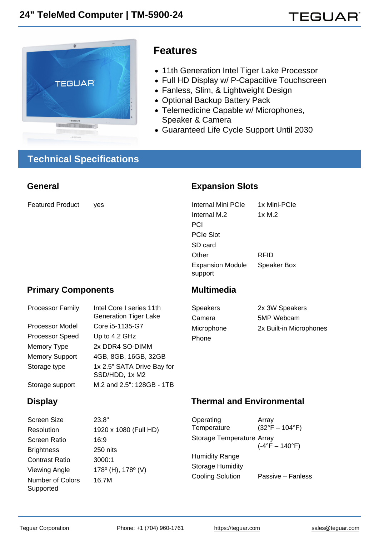## Features

- 11th Generation Intel Tiger Lake Processor
- Full HD Display w/ P-Capacitive Touchscreen
- Fanless, Slim, & Lightweight Design
- Optional Backup Battery Pack
- Telemedicine Capable w/ Microphones, Speaker & Camera
- Guaranteed Life Cycle Support Until 2030

# Technical Specifications

| General                                                                                                                                                        |                                                                                                                                                                                                                      | <b>Expansion Slots</b>                                                                                                               |                                                                                  |
|----------------------------------------------------------------------------------------------------------------------------------------------------------------|----------------------------------------------------------------------------------------------------------------------------------------------------------------------------------------------------------------------|--------------------------------------------------------------------------------------------------------------------------------------|----------------------------------------------------------------------------------|
| <b>Featured Product</b>                                                                                                                                        | yes                                                                                                                                                                                                                  | <b>Internal Mini PCIe</b><br>Internal M.2<br>PCI<br><b>PCIe Slot</b><br>SD card                                                      | 1x Mini-PCIe<br>1x M.2                                                           |
|                                                                                                                                                                |                                                                                                                                                                                                                      | Other<br><b>Expansion Module</b><br>support                                                                                          | <b>RFID</b><br>Speaker Box                                                       |
| <b>Primary Components</b>                                                                                                                                      |                                                                                                                                                                                                                      | Multimedia                                                                                                                           |                                                                                  |
| <b>Processor Family</b><br>Processor Model<br><b>Processor Speed</b><br>Memory Type<br><b>Memory Support</b><br>Storage type<br>Storage support                | Intel Core I series 11th<br><b>Generation Tiger Lake</b><br>Core i5-1135-G7<br>Up to 4.2 GHz<br>2x DDR4 SO-DIMM<br>4GB, 8GB, 16GB, 32GB<br>1x 2.5" SATA Drive Bay for<br>SSD/HDD, 1x M2<br>M.2 and 2.5": 128GB - 1TB | <b>Speakers</b><br>Camera<br>Microphone<br>Phone                                                                                     | 2x 3W Speakers<br>5MP Webcam<br>2x Built-in Microphones                          |
| Display                                                                                                                                                        |                                                                                                                                                                                                                      | <b>Thermal and Environmental</b>                                                                                                     |                                                                                  |
| <b>Screen Size</b><br>Resolution<br><b>Screen Ratio</b><br><b>Brightness</b><br><b>Contrast Ratio</b><br><b>Viewing Angle</b><br>Number of Colors<br>Supported | 23.8"<br>1920 x 1080 (Full HD)<br>16:9<br>250 nits<br>3000:1<br>178º (H), 178º (V)<br>16.7M                                                                                                                          | Operating<br>Temperature<br>Storage Temperature Array<br><b>Humidity Range</b><br><b>Storage Humidity</b><br><b>Cooling Solution</b> | Array<br>$(32^{\circ}F - 104^{\circ}F)$<br>$(-4°F - 140°F)$<br>Passive - Fanless |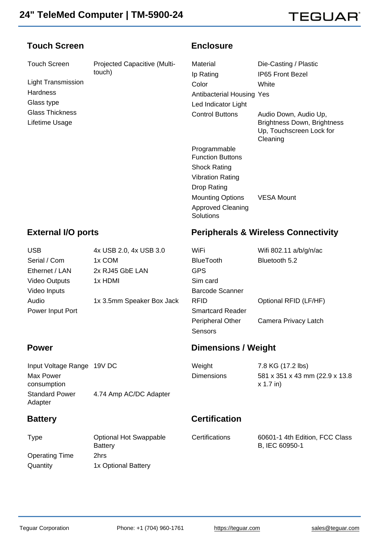#### Touch Screen

Touch Screen Projected Capacitive (Multitouch)

Light Transmission **Hardness** Glass type Glass Thickness Lifetime Usage

#### **Enclosure**

| Die-Casting / Plastic                                                                               |
|-----------------------------------------------------------------------------------------------------|
| IP65 Front Bezel                                                                                    |
| White                                                                                               |
| Antibacterial Housing Yes                                                                           |
|                                                                                                     |
| Audio Down, Audio Up,<br><b>Brightness Down, Brightness</b><br>Up, Touchscreen Lock for<br>Cleaning |
|                                                                                                     |
|                                                                                                     |
|                                                                                                     |
|                                                                                                     |
| VESA Mount                                                                                          |
|                                                                                                     |

### External I/O ports

## Peripherals & Wireless Connectivity

| <b>USB</b>           | 4x USB 2.0, 4x USB 3.0    | WiFi                    | Wifi 802.11 a/b/g/n/ac |
|----------------------|---------------------------|-------------------------|------------------------|
| Serial / Com         | 1x COM                    | <b>BlueTooth</b>        | Bluetooth 5.2          |
| Ethernet / LAN       | 2x RJ45 GbE LAN           | <b>GPS</b>              |                        |
| <b>Video Outputs</b> | 1x HDMI                   | Sim card                |                        |
| Video Inputs         |                           | <b>Barcode Scanner</b>  |                        |
| Audio                | 1x 3.5mm Speaker Box Jack | <b>RFID</b>             | Optional RFID (LF/HF)  |
| Power Input Port     |                           | <b>Smartcard Reader</b> |                        |
|                      |                           | Peripheral Other        | Camera Privacy Latch   |
|                      |                           |                         |                        |

#### Power

| Input Voltage Range 19V DC |
|----------------------------|
|                            |
|                            |
| 4.74 Amp AC/DC Adapter     |
|                            |

#### **Battery**

**Certification** 

Sensors

Dimensions / Weight

Weight 7.8 KG (17.2 lbs)

Dimensions 581 x 351 x 43 mm (22.9 x 13.8 x 1.7 in)

| Type                  | <b>Optional Hot Swappable</b><br><b>Battery</b> | Certifications | 60601-1 4th Edition, FCC Class<br>B, IEC 60950-1 |
|-----------------------|-------------------------------------------------|----------------|--------------------------------------------------|
| <b>Operating Time</b> | 2hrs                                            |                |                                                  |
| Quantity              | 1x Optional Battery                             |                |                                                  |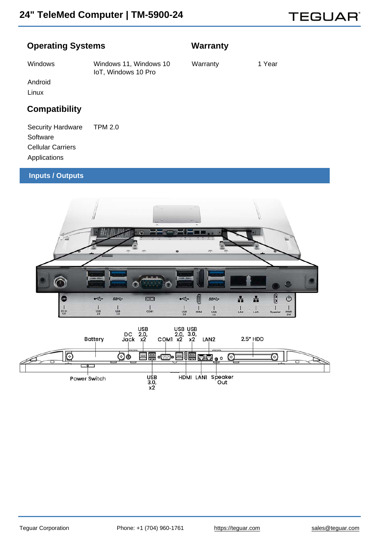#### Operating Systems

## **Warranty**

Windows Windows 11, Windows 10 IoT, Windows 10 Pro

Warranty 1 Year

Android

Linux

## **Compatibility**

Security Hardware TPM 2.0 **Software** Cellular Carriers Applications

#### Inputs / Outputs